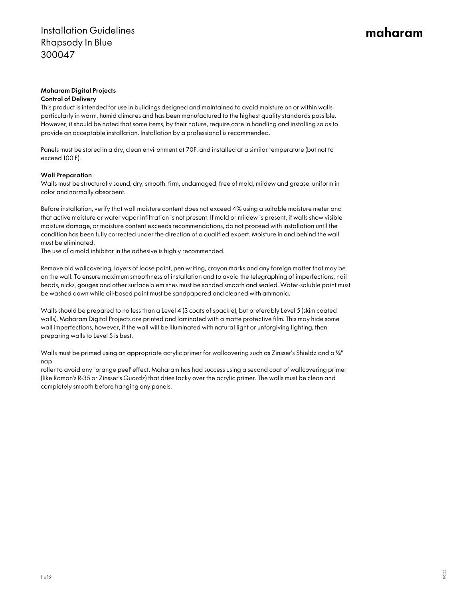# maharam

## Maharam Digital Projects

#### Control of Delivery

This product is intended for use in buildings designed and maintained to avoid moisture on or within walls, particularly in warm, humid climates and has been manufactured to the highest quality standards possible. However, it should be noted that some items, by their nature, require care in handling and installing so as to provide an acceptable installation. Installation by a professional is recommended.

Panels must be stored in a dry, clean environment at 70F, and installed at a similar temperature (but not to exceed 100 F).

### Wall Preparation

Walls must be structurally sound, dry, smooth, firm, undamaged, free of mold, mildew and grease, uniform in color and normally absorbent.

Before installation, verify that wall moisture content does not exceed 4% using a suitable moisture meter and that active moisture or water vapor infiltration is not present. If mold or mildew is present, if walls show visible moisture damage, or moisture content exceeds recommendations, do not proceed with installation until the condition has been fully corrected under the direction of a qualified expert. Moisture in and behind the wall must be eliminated.

The use of a mold inhibitor in the adhesive is highly recommended.

Remove old wallcovering, layers of loose paint, pen writing, crayon marks and any foreign matter that may be on the wall. To ensure maximum smoothness of installation and to avoid the telegraphing of imperfections, nail heads, nicks, gouges and other surface blemishes must be sanded smooth and sealed. Water-soluble paint must be washed down while oil-based paint must be sandpapered and cleaned with ammonia.

Walls should be prepared to no less than a Level 4 (3 coats of spackle), but preferably Level 5 (skim coated walls). Maharam Digital Projects are printed and laminated with a matte protective film. This may hide some wall imperfections, however, if the wall will be illuminated with natural light or unforgiving lighting, then preparing walls to Level 5 is best.

Walls must be primed using an appropriate acrylic primer for wallcovering such as Zinsser's Shieldz and a ¼" nap

roller to avoid any "orange peel' effect. Maharam has had success using a second coat of wallcovering primer (like Roman's R-35 or Zinsser's Guardz) that dries tacky over the acrylic primer. The walls must be clean and completely smooth before hanging any panels.